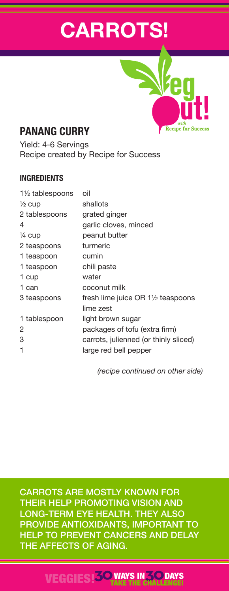# **CARROTS!**

# **PANANG CURRY**

Yield: 4-6 Servings Recipe created by Recipe for Success

#### **INGREDIENTS**

| 11/2 tablespoons  | oil                                                       |
|-------------------|-----------------------------------------------------------|
| $\frac{1}{2}$ cup | shallots                                                  |
| 2 tablespoons     | grated ginger                                             |
| 4                 | garlic cloves, minced                                     |
| $\frac{1}{4}$ cup | peanut butter                                             |
| 2 teaspoons       | turmeric                                                  |
| 1 teaspoon        | cumin                                                     |
| 1 teaspoon        | chili paste                                               |
| 1 cup             | water                                                     |
| 1 can             | coconut milk                                              |
| 3 teaspoons       | fresh lime juice OR $1\frac{1}{2}$ teaspoons<br>lime zest |
| 1 tablespoon      | light brown sugar                                         |
| 2                 | packages of tofu (extra firm)                             |
| 3                 | carrots, julienned (or thinly sliced)                     |
| 1                 | large red bell pepper                                     |
|                   |                                                           |

*(recipe continued on other side)*

**Recipe for Success** 

CARROTS ARE MOSTLY KNOWN FOR THEIR HELP PROMOTING VISION AND LONG-TERM EYE HEALTH. THEY ALSO PROVIDE ANTIOXIDANTS, IMPORTANT TO HELP TO PREVENT CANCERS AND DELAY THE AFFECTS OF AGING.

#### VEGGIES!**30**WAYS IN**30** TAKE THE CHALLENGE! **DAYS**